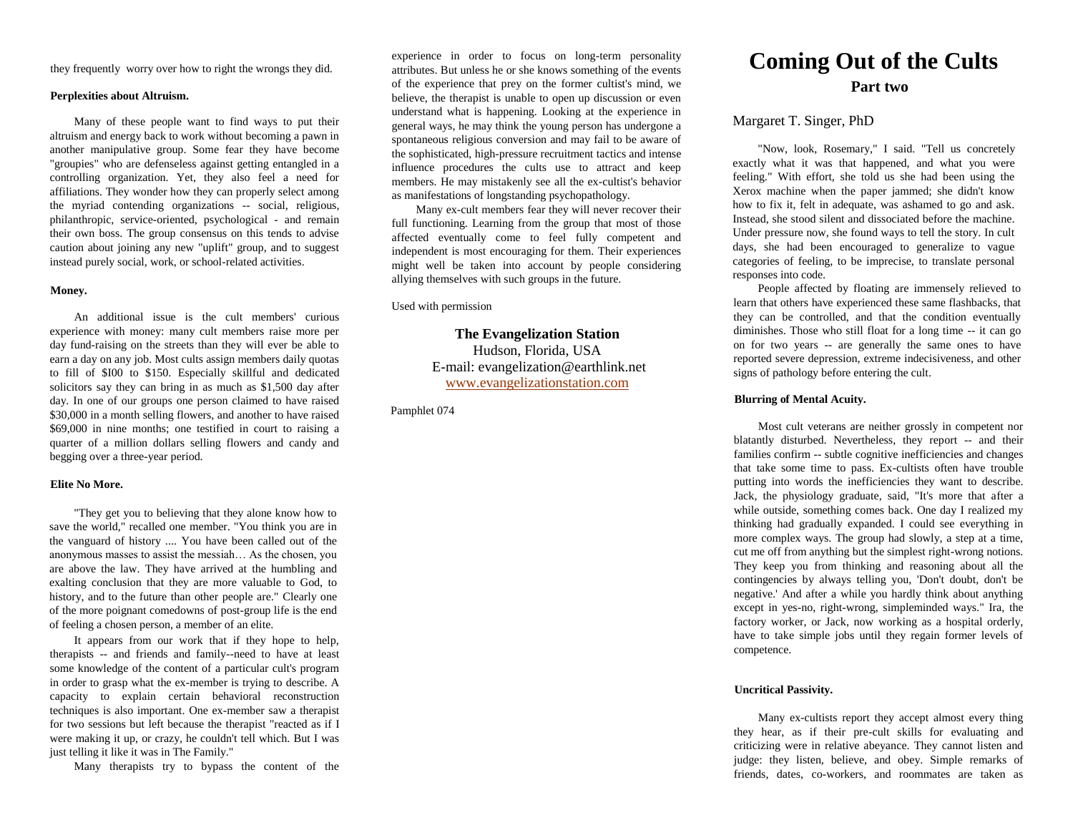they frequently worry over how to right the wrongs they did.

#### **Perplexities about Altruism.**

Many of these people want to find ways to put their altruism and energy back to work without becoming a pawn in another manipulative group. Some fear they have become "groupies" who are defenseless against getting entangled in a controlling organization. Yet, they also feel a need for affiliations. They wonder how they can properly select among the myriad contending organizations -- social, religious, philanthropic, service-oriented, psychological - and remain their own boss. The group consensus on this tends to advise caution about joining any new "uplift" group, and to suggest instead purely social, work, or school-related activities.

#### **Money.**

An additional issue is the cult members' curious experience with money: many cult members raise more per day fund-raising on the streets than they will ever be able to earn a day on any job. Most cults assign members daily quotas to fill of \$I00 to \$150. Especially skillful and dedicated solicitors say they can bring in as much as \$1,500 day after day. In one of our groups one person claimed to have raised \$30,000 in a month selling flowers, and another to have raised \$69,000 in nine months; one testified in court to raising a quarter of a million dollars selling flowers and candy and begging over a three-year period.

### **Elite No More.**

"They get you to believing that they alone know how to save the world," recalled one member. "You think you are in the vanguard of history .... You have been called out of the anonymous masses to assist the messiah… As the chosen, you are above the law. They have arrived at the humbling and exalting conclusion that they are more valuable to God, to history, and to the future than other people are." Clearly one of the more poignant comedowns of post-group life is the end of feeling a chosen person, a member of an elite.

It appears from our work that if they hope to help, therapists -- and friends and family--need to have at least some knowledge of the content of a particular cult's program in order to grasp what the ex-member is trying to describe. A capacity to explain certain behavioral reconstruction techniques is also important. One ex-member saw a therapist for two sessions but left because the therapist "reacted as if I were making it up, or crazy, he couldn't tell which. But I was just telling it like it was in The Family."

Many therapists try to bypass the content of the

experience in order to focus on long-term personality attributes. But unless he or she knows something of the events of the experience that prey on the former cultist's mind, we believe, the therapist is unable to open up discussion or even understand what is happening. Looking at the experience in general ways, he may think the young person has undergone a spontaneous religious conversion and may fail to be aware of the sophisticated, high-pressure recruitment tactics and intense influence procedures the cults use to attract and keep members. He may mistakenly see all the ex-cultist's behavior as manifestations of longstanding psychopathology.

Many ex-cult members fear they will never recover their full functioning. Learning from the group that most of those affected eventually come to feel fully competent and independent is most encouraging for them. Their experiences might well be taken into account by people considering allying themselves with such groups in the future.

Used with permission

**The Evangelization Station** Hudson, Florida, USA E-mail: evangelization@earthlink.net [www.evangelizationstation.com](http://www.pjpiisoe.org/)

Pamphlet 074

# **Coming Out of the Cults Part two**

# Margaret T. Singer, PhD

"Now, look, Rosemary," I said. "Tell us concretely exactly what it was that happened, and what you were feeling." With effort, she told us she had been using the Xerox machine when the paper jammed; she didn't know how to fix it, felt in adequate, was ashamed to go and ask. Instead, she stood silent and dissociated before the machine. Under pressure now, she found ways to tell the story. In cult days, she had been encouraged to generalize to vague categories of feeling, to be imprecise, to translate personal responses into code.

People affected by floating are immensely relieved to learn that others have experienced these same flashbacks, that they can be controlled, and that the condition eventually diminishes. Those who still float for a long time -- it can go on for two years -- are generally the same ones to have reported severe depression, extreme indecisiveness, and other signs of pathology before entering the cult.

### **Blurring of Mental Acuity.**

Most cult veterans are neither grossly in competent nor blatantly disturbed. Nevertheless, they report -- and their families confirm -- subtle cognitive inefficiencies and changes that take some time to pass. Ex-cultists often have trouble putting into words the inefficiencies they want to describe. Jack, the physiology graduate, said, "It's more that after a while outside, something comes back. One day I realized my thinking had gradually expanded. I could see everything in more complex ways. The group had slowly, a step at a time, cut me off from anything but the simplest right-wrong notions. They keep you from thinking and reasoning about all the contingencies by always telling you, 'Don't doubt, don't be negative.' And after a while you hardly think about anything except in yes-no, right-wrong, simpleminded ways." Ira, the factory worker, or Jack, now working as a hospital orderly, have to take simple jobs until they regain former levels of competence.

## **Uncritical Passivity.**

Many ex-cultists report they accept almost every thing they hear, as if their pre-cult skills for evaluating and criticizing were in relative abeyance. They cannot listen and judge: they listen, believe, and obey. Simple remarks of friends, dates, co-workers, and roommates are taken as